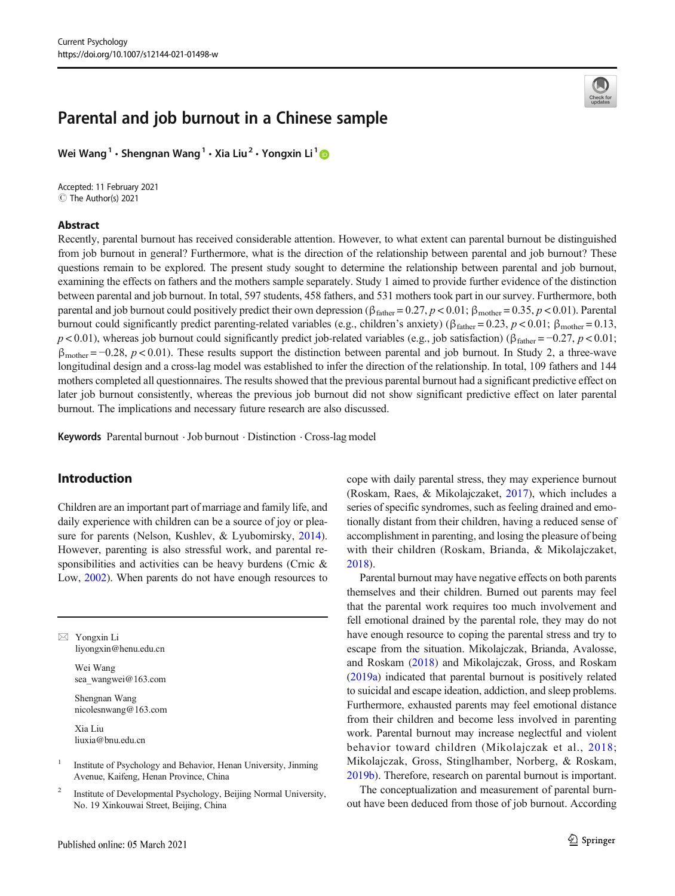# Parental and job burnout in a Chinese sample

Wei Wang<sup>1</sup> • Shengnan Wang<sup>1</sup> • Xia Liu<sup>2</sup> • Yongxin Li<sup>1</sup>

Accepted: 11 February 2021 C The Author(s) 2021

### Abstract



Recently, parental burnout has received considerable attention. However, to what extent can parental burnout be distinguished from job burnout in general? Furthermore, what is the direction of the relationship between parental and job burnout? These questions remain to be explored. The present study sought to determine the relationship between parental and job burnout, examining the effects on fathers and the mothers sample separately. Study 1 aimed to provide further evidence of the distinction between parental and job burnout. In total, 597 students, 458 fathers, and 531 mothers took part in our survey. Furthermore, both parental and job burnout could positively predict their own depression ( $\beta_{\text{father}} = 0.27, p < 0.01; \beta_{\text{mother}} = 0.35, p < 0.01$ ). Parental burnout could significantly predict parenting-related variables (e.g., children's anxiety) (β<sub>father</sub> = 0.23,  $p$  < 0.01; β<sub>mother</sub> = 0.13,  $p < 0.01$ ), whereas job burnout could significantly predict job-related variables (e.g., job satisfaction) ( $\beta_{\text{father}} = -0.27$ ,  $p < 0.01$ ;  $\beta_{\text{mother}} = -0.28$ ,  $p < 0.01$ ). These results support the distinction between parental and job burnout. In Study 2, a three-wave longitudinal design and a cross-lag model was established to infer the direction of the relationship. In total, 109 fathers and 144 mothers completed all questionnaires. The results showed that the previous parental burnout had a significant predictive effect on later job burnout consistently, whereas the previous job burnout did not show significant predictive effect on later parental burnout. The implications and necessary future research are also discussed.

Keywords Parental burnout .Job burnout . Distinction . Cross-lag model

# Introduction

Children are an important part of marriage and family life, and daily experience with children can be a source of joy or pleasure for parents (Nelson, Kushlev, & Lyubomirsky, [2014](#page-10-0)). However, parenting is also stressful work, and parental responsibilities and activities can be heavy burdens (Crnic & Low, [2002](#page-9-0)). When parents do not have enough resources to

 $\boxtimes$  Yongxin Li [liyongxin@henu.edu.cn](mailto:liyongxin@henu.edu.cn)

> Wei Wang sea\_wangwei@163.com

Shengnan Wang nicolesnwang@163.com

Xia Liu liuxia@bnu.edu.cn

<sup>1</sup> Institute of Psychology and Behavior, Henan University, Jinming Avenue, Kaifeng, Henan Province, China

<sup>2</sup> Institute of Developmental Psychology, Beijing Normal University, No. 19 Xinkouwai Street, Beijing, China

cope with daily parental stress, they may experience burnout (Roskam, Raes, & Mikolajczaket, [2017](#page-10-0)), which includes a series of specific syndromes, such as feeling drained and emotionally distant from their children, having a reduced sense of accomplishment in parenting, and losing the pleasure of being with their children (Roskam, Brianda, & Mikolajczaket, [2018\)](#page-10-0).

Parental burnout may have negative effects on both parents themselves and their children. Burned out parents may feel that the parental work requires too much involvement and fell emotional drained by the parental role, they may do not have enough resource to coping the parental stress and try to escape from the situation. Mikolajczak, Brianda, Avalosse, and Roskam ([2018\)](#page-10-0) and Mikolajczak, Gross, and Roskam [\(2019a](#page-10-0)) indicated that parental burnout is positively related to suicidal and escape ideation, addiction, and sleep problems. Furthermore, exhausted parents may feel emotional distance from their children and become less involved in parenting work. Parental burnout may increase neglectful and violent behavior toward children (Mikolajczak et al., [2018;](#page-10-0) Mikolajczak, Gross, Stinglhamber, Norberg, & Roskam, [2019b\)](#page-10-0). Therefore, research on parental burnout is important.

The conceptualization and measurement of parental burnout have been deduced from those of job burnout. According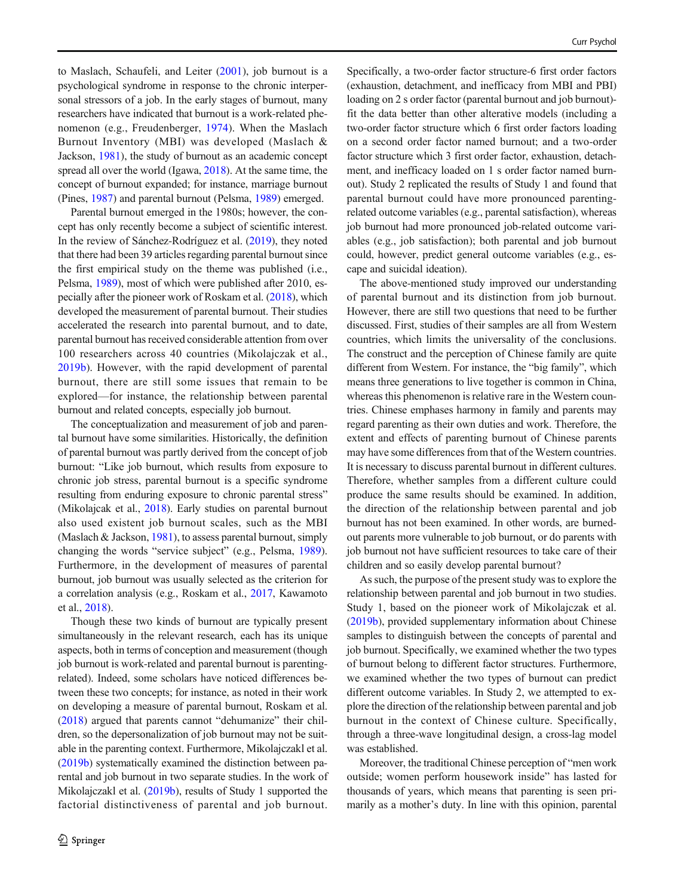to Maslach, Schaufeli, and Leiter ([2001\)](#page-10-0), job burnout is a psychological syndrome in response to the chronic interpersonal stressors of a job. In the early stages of burnout, many researchers have indicated that burnout is a work-related phenomenon (e.g., Freudenberger, [1974\)](#page-9-0). When the Maslach Burnout Inventory (MBI) was developed (Maslach & Jackson, [1981](#page-10-0)), the study of burnout as an academic concept spread all over the world (Igawa, [2018\)](#page-9-0). At the same time, the concept of burnout expanded; for instance, marriage burnout (Pines, [1987\)](#page-10-0) and parental burnout (Pelsma, [1989](#page-10-0)) emerged.

Parental burnout emerged in the 1980s; however, the concept has only recently become a subject of scientific interest. In the review of Sánchez-Rodríguez et al. [\(2019\)](#page-10-0), they noted that there had been 39 articles regarding parental burnout since the first empirical study on the theme was published (i.e., Pelsma, [1989\)](#page-10-0), most of which were published after 2010, especially after the pioneer work of Roskam et al. [\(2018\)](#page-10-0), which developed the measurement of parental burnout. Their studies accelerated the research into parental burnout, and to date, parental burnout has received considerable attention from over 100 researchers across 40 countries (Mikolajczak et al., [2019b](#page-10-0)). However, with the rapid development of parental burnout, there are still some issues that remain to be explored—for instance, the relationship between parental burnout and related concepts, especially job burnout.

The conceptualization and measurement of job and parental burnout have some similarities. Historically, the definition of parental burnout was partly derived from the concept of job burnout: "Like job burnout, which results from exposure to chronic job stress, parental burnout is a specific syndrome resulting from enduring exposure to chronic parental stress" (Mikolajcak et al., [2018](#page-10-0)). Early studies on parental burnout also used existent job burnout scales, such as the MBI (Maslach & Jackson,  $1981$ ), to assess parental burnout, simply changing the words "service subject" (e.g., Pelsma, [1989](#page-10-0)). Furthermore, in the development of measures of parental burnout, job burnout was usually selected as the criterion for a correlation analysis (e.g., Roskam et al., [2017,](#page-10-0) Kawamoto et al., [2018\)](#page-9-0).

Though these two kinds of burnout are typically present simultaneously in the relevant research, each has its unique aspects, both in terms of conception and measurement (though job burnout is work-related and parental burnout is parentingrelated). Indeed, some scholars have noticed differences between these two concepts; for instance, as noted in their work on developing a measure of parental burnout, Roskam et al. [\(2018\)](#page-10-0) argued that parents cannot "dehumanize" their children, so the depersonalization of job burnout may not be suitable in the parenting context. Furthermore, Mikolajczakl et al. [\(2019b\)](#page-10-0) systematically examined the distinction between parental and job burnout in two separate studies. In the work of Mikolajczakl et al. [\(2019b\)](#page-10-0), results of Study 1 supported the factorial distinctiveness of parental and job burnout.

Specifically, a two-order factor structure-6 first order factors (exhaustion, detachment, and inefficacy from MBI and PBI) loading on 2 s order factor (parental burnout and job burnout)fit the data better than other alterative models (including a two-order factor structure which 6 first order factors loading on a second order factor named burnout; and a two-order factor structure which 3 first order factor, exhaustion, detachment, and inefficacy loaded on 1 s order factor named burnout). Study 2 replicated the results of Study 1 and found that parental burnout could have more pronounced parentingrelated outcome variables (e.g., parental satisfaction), whereas job burnout had more pronounced job-related outcome variables (e.g., job satisfaction); both parental and job burnout could, however, predict general outcome variables (e.g., escape and suicidal ideation).

The above-mentioned study improved our understanding of parental burnout and its distinction from job burnout. However, there are still two questions that need to be further discussed. First, studies of their samples are all from Western countries, which limits the universality of the conclusions. The construct and the perception of Chinese family are quite different from Western. For instance, the "big family", which means three generations to live together is common in China, whereas this phenomenon is relative rare in the Western countries. Chinese emphases harmony in family and parents may regard parenting as their own duties and work. Therefore, the extent and effects of parenting burnout of Chinese parents may have some differences from that of the Western countries. It is necessary to discuss parental burnout in different cultures. Therefore, whether samples from a different culture could produce the same results should be examined. In addition, the direction of the relationship between parental and job burnout has not been examined. In other words, are burnedout parents more vulnerable to job burnout, or do parents with job burnout not have sufficient resources to take care of their children and so easily develop parental burnout?

As such, the purpose of the present study was to explore the relationship between parental and job burnout in two studies. Study 1, based on the pioneer work of Mikolajczak et al. [\(2019b\)](#page-10-0), provided supplementary information about Chinese samples to distinguish between the concepts of parental and job burnout. Specifically, we examined whether the two types of burnout belong to different factor structures. Furthermore, we examined whether the two types of burnout can predict different outcome variables. In Study 2, we attempted to explore the direction of the relationship between parental and job burnout in the context of Chinese culture. Specifically, through a three-wave longitudinal design, a cross-lag model was established.

Moreover, the traditional Chinese perception of "men work outside; women perform housework inside" has lasted for thousands of years, which means that parenting is seen primarily as a mother's duty. In line with this opinion, parental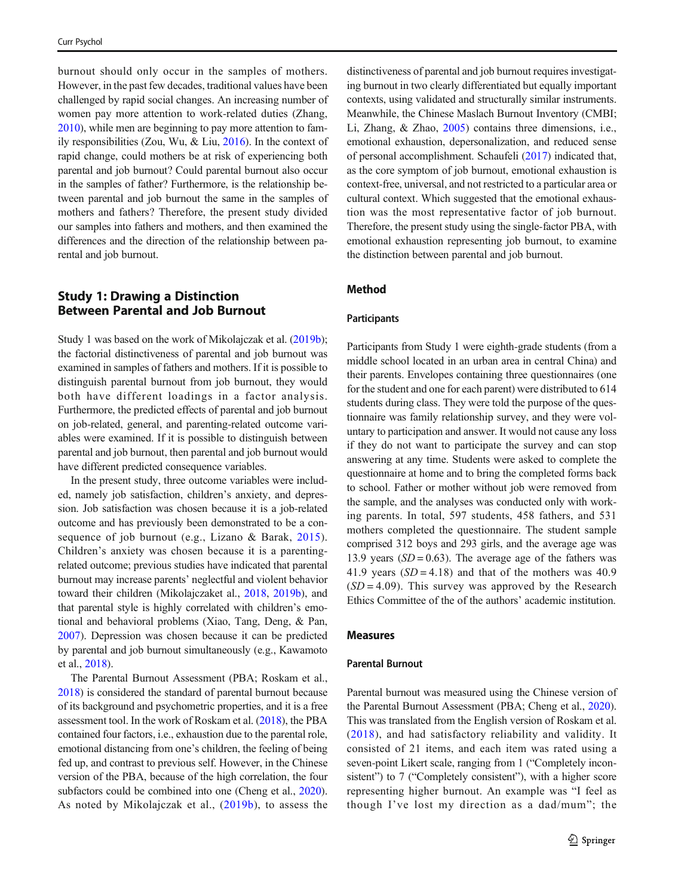burnout should only occur in the samples of mothers. However, in the past few decades, traditional values have been challenged by rapid social changes. An increasing number of women pay more attention to work-related duties (Zhang, [2010\)](#page-10-0), while men are beginning to pay more attention to family responsibilities (Zou, Wu, & Liu, [2016](#page-10-0)). In the context of rapid change, could mothers be at risk of experiencing both parental and job burnout? Could parental burnout also occur in the samples of father? Furthermore, is the relationship between parental and job burnout the same in the samples of mothers and fathers? Therefore, the present study divided our samples into fathers and mothers, and then examined the differences and the direction of the relationship between parental and job burnout.

# Study 1: Drawing a Distinction Between Parental and Job Burnout

Study 1 was based on the work of Mikolajczak et al. ([2019b](#page-10-0)); the factorial distinctiveness of parental and job burnout was examined in samples of fathers and mothers. If it is possible to distinguish parental burnout from job burnout, they would both have different loadings in a factor analysis. Furthermore, the predicted effects of parental and job burnout on job-related, general, and parenting-related outcome variables were examined. If it is possible to distinguish between parental and job burnout, then parental and job burnout would have different predicted consequence variables.

In the present study, three outcome variables were included, namely job satisfaction, children's anxiety, and depression. Job satisfaction was chosen because it is a job-related outcome and has previously been demonstrated to be a consequence of job burnout (e.g., Lizano & Barak, [2015](#page-10-0)). Children's anxiety was chosen because it is a parentingrelated outcome; previous studies have indicated that parental burnout may increase parents' neglectful and violent behavior toward their children (Mikolajczaket al., [2018](#page-10-0), [2019b\)](#page-10-0), and that parental style is highly correlated with children's emotional and behavioral problems (Xiao, Tang, Deng, & Pan, [2007\)](#page-10-0). Depression was chosen because it can be predicted by parental and job burnout simultaneously (e.g., Kawamoto et al., [2018\)](#page-9-0).

The Parental Burnout Assessment (PBA; Roskam et al., [2018\)](#page-10-0) is considered the standard of parental burnout because of its background and psychometric properties, and it is a free assessment tool. In the work of Roskam et al. [\(2018\)](#page-10-0), the PBA contained four factors, i.e., exhaustion due to the parental role, emotional distancing from one's children, the feeling of being fed up, and contrast to previous self. However, in the Chinese version of the PBA, because of the high correlation, the four subfactors could be combined into one (Cheng et al., [2020\)](#page-9-0). As noted by Mikolajczak et al., ([2019b\)](#page-10-0), to assess the

distinctiveness of parental and job burnout requires investigating burnout in two clearly differentiated but equally important contexts, using validated and structurally similar instruments. Meanwhile, the Chinese Maslach Burnout Inventory (CMBI; Li, Zhang, & Zhao, [2005\)](#page-10-0) contains three dimensions, i.e., emotional exhaustion, depersonalization, and reduced sense of personal accomplishment. Schaufeli ([2017](#page-10-0)) indicated that, as the core symptom of job burnout, emotional exhaustion is context-free, universal, and not restricted to a particular area or cultural context. Which suggested that the emotional exhaustion was the most representative factor of job burnout. Therefore, the present study using the single-factor PBA, with emotional exhaustion representing job burnout, to examine the distinction between parental and job burnout.

# Method

#### **Participants**

Participants from Study 1 were eighth-grade students (from a middle school located in an urban area in central China) and their parents. Envelopes containing three questionnaires (one for the student and one for each parent) were distributed to 614 students during class. They were told the purpose of the questionnaire was family relationship survey, and they were voluntary to participation and answer. It would not cause any loss if they do not want to participate the survey and can stop answering at any time. Students were asked to complete the questionnaire at home and to bring the completed forms back to school. Father or mother without job were removed from the sample, and the analyses was conducted only with working parents. In total, 597 students, 458 fathers, and 531 mothers completed the questionnaire. The student sample comprised 312 boys and 293 girls, and the average age was 13.9 years  $(SD = 0.63)$ . The average age of the fathers was 41.9 years  $(SD = 4.18)$  and that of the mothers was 40.9  $(SD = 4.09)$ . This survey was approved by the Research Ethics Committee of the of the authors' academic institution.

#### Measures

#### Parental Burnout

Parental burnout was measured using the Chinese version of the Parental Burnout Assessment (PBA; Cheng et al., [2020\)](#page-9-0). This was translated from the English version of Roskam et al. ([2018\)](#page-10-0), and had satisfactory reliability and validity. It consisted of 21 items, and each item was rated using a seven-point Likert scale, ranging from 1 ("Completely inconsistent") to 7 ("Completely consistent"), with a higher score representing higher burnout. An example was "I feel as though I've lost my direction as a dad/mum"; the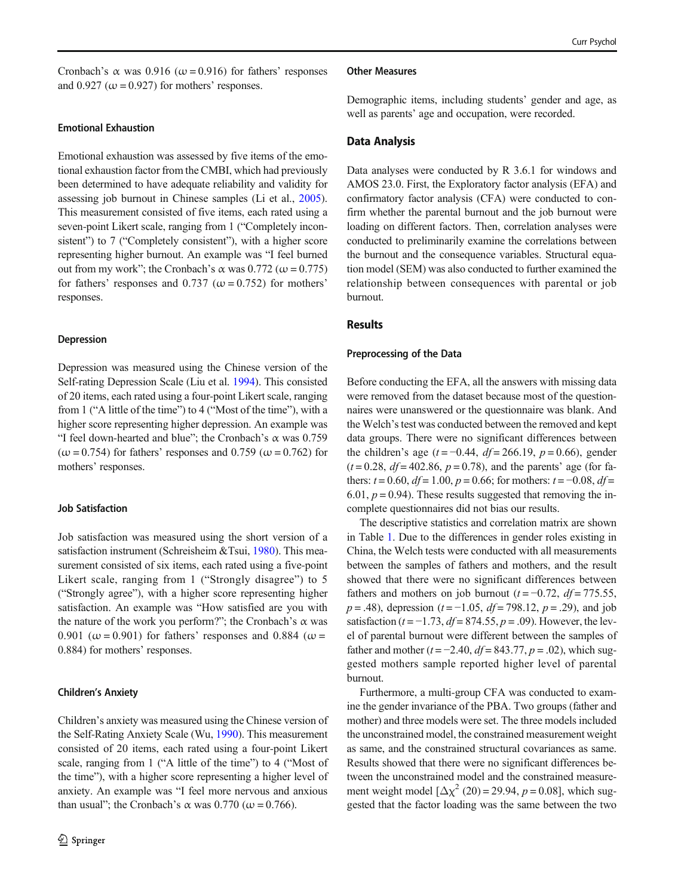Cronbach's  $\alpha$  was 0.916 ( $\omega$  = 0.916) for fathers' responses and  $0.927 \, (\omega = 0.927)$  for mothers' responses.

# Emotional Exhaustion

Emotional exhaustion was assessed by five items of the emotional exhaustion factor from the CMBI, which had previously been determined to have adequate reliability and validity for assessing job burnout in Chinese samples (Li et al., [2005](#page-10-0)). This measurement consisted of five items, each rated using a seven-point Likert scale, ranging from 1 ("Completely inconsistent") to 7 ("Completely consistent"), with a higher score representing higher burnout. An example was "I feel burned out from my work"; the Cronbach's α was  $0.772$  ( $ω = 0.775$ ) for fathers' responses and 0.737 ( $\omega$  = 0.752) for mothers' responses.

#### Depression

Depression was measured using the Chinese version of the Self-rating Depression Scale (Liu et al. [1994\)](#page-10-0). This consisted of 20 items, each rated using a four-point Likert scale, ranging from 1 ("A little of the time") to 4 ("Most of the time"), with a higher score representing higher depression. An example was "I feel down-hearted and blue"; the Cronbach's  $\alpha$  was 0.759  $(\omega = 0.754)$  for fathers' responses and 0.759 ( $\omega = 0.762$ ) for mothers' responses.

# Job Satisfaction

Job satisfaction was measured using the short version of a satisfaction instrument (Schreisheim &Tsui, [1980\)](#page-10-0). This measurement consisted of six items, each rated using a five-point Likert scale, ranging from 1 ("Strongly disagree") to 5 ("Strongly agree"), with a higher score representing higher satisfaction. An example was "How satisfied are you with the nature of the work you perform?"; the Cronbach's  $\alpha$  was 0.901 ( $\omega$  = 0.901) for fathers' responses and 0.884 ( $\omega$  = 0.884) for mothers' responses.

#### Children's Anxiety

Children's anxiety was measured using the Chinese version of the Self-Rating Anxiety Scale (Wu, [1990](#page-10-0)). This measurement consisted of 20 items, each rated using a four-point Likert scale, ranging from 1 ("A little of the time") to 4 ("Most of the time"), with a higher score representing a higher level of anxiety. An example was "I feel more nervous and anxious than usual"; the Cronbach's  $\alpha$  was 0.770 ( $\omega$  = 0.766).

#### Other Measures

Demographic items, including students' gender and age, as well as parents' age and occupation, were recorded.

### Data Analysis

Data analyses were conducted by R 3.6.1 for windows and AMOS 23.0. First, the Exploratory factor analysis (EFA) and confirmatory factor analysis (CFA) were conducted to confirm whether the parental burnout and the job burnout were loading on different factors. Then, correlation analyses were conducted to preliminarily examine the correlations between the burnout and the consequence variables. Structural equation model (SEM) was also conducted to further examined the relationship between consequences with parental or job burnout.

#### Results

#### Preprocessing of the Data

Before conducting the EFA, all the answers with missing data were removed from the dataset because most of the questionnaires were unanswered or the questionnaire was blank. And the Welch's test was conducted between the removed and kept data groups. There were no significant differences between the children's age ( $t = -0.44$ ,  $df = 266.19$ ,  $p = 0.66$ ), gender  $(t = 0.28, df = 402.86, p = 0.78)$ , and the parents' age (for fathers:  $t = 0.60$ ,  $df = 1.00$ ,  $p = 0.66$ ; for mothers:  $t = -0.08$ ,  $df =$ 6.01,  $p = 0.94$ ). These results suggested that removing the incomplete questionnaires did not bias our results.

The descriptive statistics and correlation matrix are shown in Table [1](#page-4-0). Due to the differences in gender roles existing in China, the Welch tests were conducted with all measurements between the samples of fathers and mothers, and the result showed that there were no significant differences between fathers and mothers on job burnout ( $t = -0.72$ ,  $df = 775.55$ ,  $p = .48$ ), depression ( $t = -1.05$ ,  $df = 798.12$ ,  $p = .29$ ), and job satisfaction ( $t = -1.73$ ,  $df = 874.55$ ,  $p = .09$ ). However, the level of parental burnout were different between the samples of father and mother ( $t = -2.40$ ,  $df = 843.77$ ,  $p = .02$ ), which suggested mothers sample reported higher level of parental burnout.

Furthermore, a multi-group CFA was conducted to examine the gender invariance of the PBA. Two groups (father and mother) and three models were set. The three models included the unconstrained model, the constrained measurement weight as same, and the constrained structural covariances as same. Results showed that there were no significant differences between the unconstrained model and the constrained measurement weight model  $[\Delta \chi^2 (20) = 29.94, p = 0.08]$ , which suggested that the factor loading was the same between the two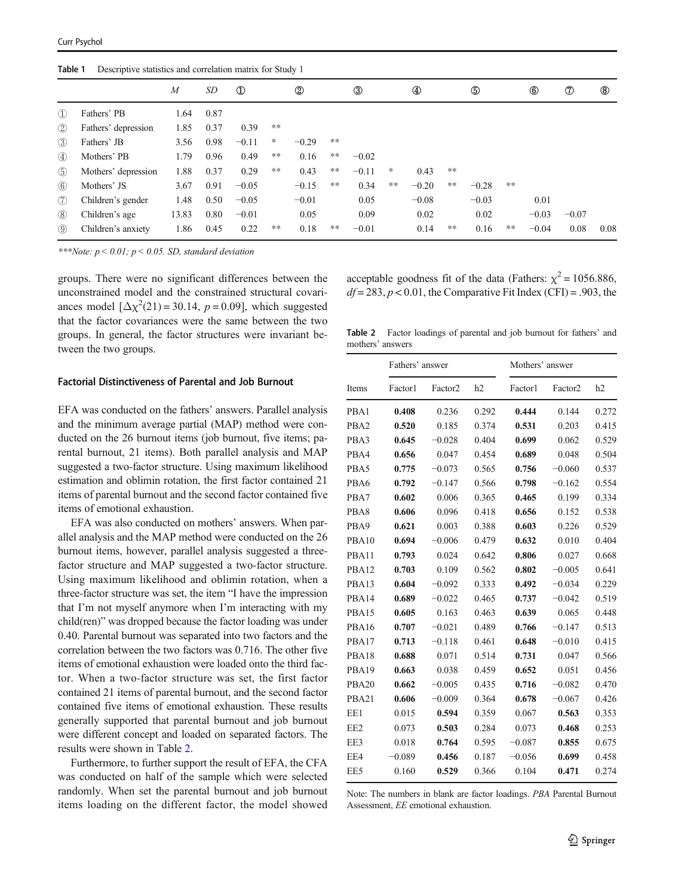<span id="page-4-0"></span>

|               |                     | M     | SD   | $\mathbf D$ |       | $^{\circledR}$ |      | $^\circledR$ |    |         |    | ௫       |      | $^{\circledR}$ | $^\circledR$ | $\circledR$ |
|---------------|---------------------|-------|------|-------------|-------|----------------|------|--------------|----|---------|----|---------|------|----------------|--------------|-------------|
| $\Omega$      | Fathers' PB         | 1.64  | 0.87 |             |       |                |      |              |    |         |    |         |      |                |              |             |
| (2)           | Fathers' depression | 1.85  | 0.37 | 0.39        | **    |                |      |              |    |         |    |         |      |                |              |             |
| (3)           | Fathers' JB         | 3.56  | 0.98 | $-0.11$     | *     | $-0.29$        | **   |              |    |         |    |         |      |                |              |             |
| $\circled{4}$ | Mothers' PB         | 1.79  | 0.96 | 0.49        | $***$ | 0.16           | $**$ | $-0.02$      |    |         |    |         |      |                |              |             |
| (5)           | Mothers' depression | 1.88  | 0.37 | 0.29        | **    | 0.43           | **   | $-0.11$      | *  | 0.43    | ** |         |      |                |              |             |
| $\circled{6}$ | Mothers' JS         | 3.67  | 0.91 | $-0.05$     |       | $-0.15$        | **   | 0.34         | ** | $-0.20$ | ** | $-0.28$ | $**$ |                |              |             |
| (7)           | Children's gender   | 1.48  | 0.50 | $-0.05$     |       | $-0.01$        |      | 0.05         |    | $-0.08$ |    | $-0.03$ |      | 0.01           |              |             |
| (8)           | Children's age      | 13.83 | 0.80 | $-0.01$     |       | 0.05           |      | 0.09         |    | 0.02    |    | 0.02    |      | $-0.03$        | $-0.07$      |             |
| $\circled{9}$ | Children's anxiety  | 1.86  | 0.45 | 0.22        | **    | 0.18           | **   | $-0.01$      |    | 0.14    | ** | 0.16    | **   | $-0.04$        | 0.08         | 0.08        |

\*\*\*Note:  $p < 0.01$ ;  $p < 0.05$ . SD, standard deviation

groups. There were no significant differences between the unconstrained model and the constrained structural covariances model  $[\Delta \chi^2(21) = 30.14, p = 0.09]$ , which suggested that the factor covariances were the same between the two groups. In general, the factor structures were invariant between the two groups.

#### Factorial Distinctiveness of Parental and Job Burnout

EFA was conducted on the fathers' answers. Parallel analysis and the minimum average partial (MAP) method were conducted on the 26 burnout items (job burnout, five items; parental burnout, 21 items). Both parallel analysis and MAP suggested a two-factor structure. Using maximum likelihood estimation and oblimin rotation, the first factor contained 21 items of parental burnout and the second factor contained five items of emotional exhaustion.

EFA was also conducted on mothers' answers. When parallel analysis and the MAP method were conducted on the 26 burnout items, however, parallel analysis suggested a threefactor structure and MAP suggested a two-factor structure. Using maximum likelihood and oblimin rotation, when a three-factor structure was set, the item "I have the impression that I'm not myself anymore when I'm interacting with my child(ren)" was dropped because the factor loading was under 0.40. Parental burnout was separated into two factors and the correlation between the two factors was 0.716. The other five items of emotional exhaustion were loaded onto the third factor. When a two-factor structure was set, the first factor contained 21 items of parental burnout, and the second factor contained five items of emotional exhaustion. These results generally supported that parental burnout and job burnout were different concept and loaded on separated factors. The results were shown in Table 2.

Furthermore, to further support the result of EFA, the CFA was conducted on half of the sample which were selected randomly. When set the parental burnout and job burnout items loading on the different factor, the model showed acceptable goodness fit of the data (Fathers:  $\chi^2 = 1056.886$ ,  $df = 283$ ,  $p < 0.01$ , the Comparative Fit Index (CFI) = .903, the

Table 2 Factor loadings of parental and job burnout for fathers' and mothers' answers

|                   | Fathers' answer |                     |       | Mothers' answer |                     |       |  |  |  |  |
|-------------------|-----------------|---------------------|-------|-----------------|---------------------|-------|--|--|--|--|
| Items             | Factor1         | Factor <sub>2</sub> | h2    | Factor1         | Factor <sub>2</sub> | h2    |  |  |  |  |
| PBA1              | 0.408           | 0.236               | 0.292 | 0.444           | 0.144               | 0.272 |  |  |  |  |
| PBA <sub>2</sub>  | 0.520           | 0.185               | 0.374 | 0.531           | 0.203               | 0.415 |  |  |  |  |
| PBA3              | 0.645           | $-0.028$            | 0.404 | 0.699           | 0.062               | 0.529 |  |  |  |  |
| PBA4              | 0.656           | 0.047               | 0.454 | 0.689           | 0.048               | 0.504 |  |  |  |  |
| PBA5              | 0.775           | $-0.073$            | 0.565 | 0.756           | $-0.060$            | 0.537 |  |  |  |  |
| PBA6              | 0.792           | $-0.147$            | 0.566 | 0.798           | $-0.162$            | 0.554 |  |  |  |  |
| PBA7              | 0.602           | 0.006               | 0.365 | 0.465           | 0.199               | 0.334 |  |  |  |  |
| PBA8              | 0.606           | 0.096               | 0.418 | 0.656           | 0.152               | 0.538 |  |  |  |  |
| PBA9              | 0.621           | 0.003               | 0.388 | 0.603           | 0.226               | 0.529 |  |  |  |  |
| PBA <sub>10</sub> | 0.694           | $-0.006$            | 0.479 | 0.632           | 0.010               | 0.404 |  |  |  |  |
| PBA11             | 0.793           | 0.024               | 0.642 | 0.806           | 0.027               | 0.668 |  |  |  |  |
| PBA <sub>12</sub> | 0.703           | 0.109               | 0.562 | 0.802           | $-0.005$            | 0.641 |  |  |  |  |
| PBA13             | 0.604           | $-0.092$            | 0.333 | 0.492           | $-0.034$            | 0.229 |  |  |  |  |
| PBA14             | 0.689           | $-0.022$            | 0.465 | 0.737           | $-0.042$            | 0.519 |  |  |  |  |
| PBA15             | 0.605           | 0.163               | 0.463 | 0.639           | 0.065               | 0.448 |  |  |  |  |
| PBA16             | 0.707           | $-0.021$            | 0.489 | 0.766           | $-0.147$            | 0.513 |  |  |  |  |
| PBA17             | 0.713           | $-0.118$            | 0.461 | 0.648           | $-0.010$            | 0.415 |  |  |  |  |
| PBA18             | 0.688           | 0.071               | 0.514 | 0.731           | 0.047               | 0.566 |  |  |  |  |
| PBA19             | 0.663           | 0.038               | 0.459 | 0.652           | 0.051               | 0.456 |  |  |  |  |
| PBA <sub>20</sub> | 0.662           | $-0.005$            | 0.435 | 0.716           | $-0.082$            | 0.470 |  |  |  |  |
| PBA21             | 0.606           | $-0.009$            | 0.364 | 0.678           | $-0.067$            | 0.426 |  |  |  |  |
| EE1               | 0.015           | 0.594               | 0.359 | 0.067           | 0.563               | 0.353 |  |  |  |  |
| EE <sub>2</sub>   | 0.073           | 0.503               | 0.284 | 0.073           | 0.468               | 0.253 |  |  |  |  |
| EE3               | 0.018           | 0.764               | 0.595 | $-0.087$        | 0.855               | 0.675 |  |  |  |  |
| EE4               | $-0.089$        | 0.456               | 0.187 | $-0.056$        | 0.699               | 0.458 |  |  |  |  |
| EE5               | 0.160           | 0.529               | 0.366 | 0.104           | 0.471               | 0.274 |  |  |  |  |

Note: The numbers in blank are factor loadings. PBA Parental Burnout Assessment, EE emotional exhaustion.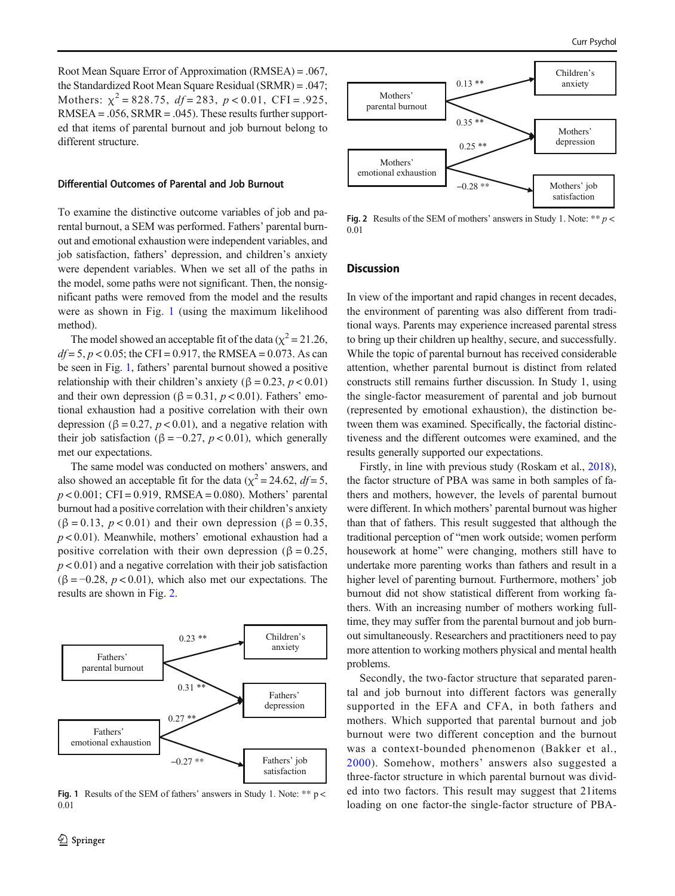Root Mean Square Error of Approximation (RMSEA) = .067, the Standardized Root Mean Square Residual (SRMR) = .047; Mothers:  $\chi^2 = 828.75$ ,  $df = 283$ ,  $p < 0.01$ , CFI = .925,  $RMSEA = .056$ ,  $SRMR = .045$ ). These results further supported that items of parental burnout and job burnout belong to different structure.

#### Differential Outcomes of Parental and Job Burnout

To examine the distinctive outcome variables of job and parental burnout, a SEM was performed. Fathers' parental burnout and emotional exhaustion were independent variables, and job satisfaction, fathers' depression, and children's anxiety were dependent variables. When we set all of the paths in the model, some paths were not significant. Then, the nonsignificant paths were removed from the model and the results were as shown in Fig. 1 (using the maximum likelihood method).

The model showed an acceptable fit of the data ( $\chi^2$  = 21.26,  $df = 5$ ,  $p < 0.05$ ; the CFI = 0.917, the RMSEA = 0.073. As can be seen in Fig. 1, fathers' parental burnout showed a positive relationship with their children's anxiety ( $\beta = 0.23$ ,  $p < 0.01$ ) and their own depression ( $\beta = 0.31$ ,  $p < 0.01$ ). Fathers' emotional exhaustion had a positive correlation with their own depression (β = 0.27,  $p$  < 0.01), and a negative relation with their job satisfaction ( $\beta = -0.27$ ,  $p < 0.01$ ), which generally met our expectations.

The same model was conducted on mothers' answers, and also showed an acceptable fit for the data ( $\chi^2$  = 24.62, *df* = 5,  $p < 0.001$ ; CFI = 0.919, RMSEA = 0.080). Mothers' parental burnout had a positive correlation with their children's anxiety  $(\beta = 0.13, p < 0.01)$  and their own depression ( $\beta = 0.35$ ,  $p < 0.01$ ). Meanwhile, mothers' emotional exhaustion had a positive correlation with their own depression ( $\beta = 0.25$ ,  $p < 0.01$ ) and a negative correlation with their job satisfaction  $(\beta = -0.28, p < 0.01)$ , which also met our expectations. The results are shown in Fig. 2.



Fig. 1 Results of the SEM of fathers' answers in Study 1. Note: \*\*  $p <$ 0.01



Fig. 2 Results of the SEM of mothers' answers in Study 1. Note: \*\*  $p$  < 0.01

### **Discussion**

In view of the important and rapid changes in recent decades, the environment of parenting was also different from traditional ways. Parents may experience increased parental stress to bring up their children up healthy, secure, and successfully. While the topic of parental burnout has received considerable attention, whether parental burnout is distinct from related constructs still remains further discussion. In Study 1, using the single-factor measurement of parental and job burnout (represented by emotional exhaustion), the distinction between them was examined. Specifically, the factorial distinctiveness and the different outcomes were examined, and the results generally supported our expectations.

Firstly, in line with previous study (Roskam et al., [2018\)](#page-10-0), the factor structure of PBA was same in both samples of fathers and mothers, however, the levels of parental burnout were different. In which mothers' parental burnout was higher than that of fathers. This result suggested that although the traditional perception of "men work outside; women perform housework at home" were changing, mothers still have to undertake more parenting works than fathers and result in a higher level of parenting burnout. Furthermore, mothers' job burnout did not show statistical different from working fathers. With an increasing number of mothers working fulltime, they may suffer from the parental burnout and job burnout simultaneously. Researchers and practitioners need to pay more attention to working mothers physical and mental health problems.

Secondly, the two-factor structure that separated parental and job burnout into different factors was generally supported in the EFA and CFA, in both fathers and mothers. Which supported that parental burnout and job burnout were two different conception and the burnout was a context-bounded phenomenon (Bakker et al., [2000\)](#page-9-0). Somehow, mothers' answers also suggested a three-factor structure in which parental burnout was divided into two factors. This result may suggest that 21items loading on one factor-the single-factor structure of PBA-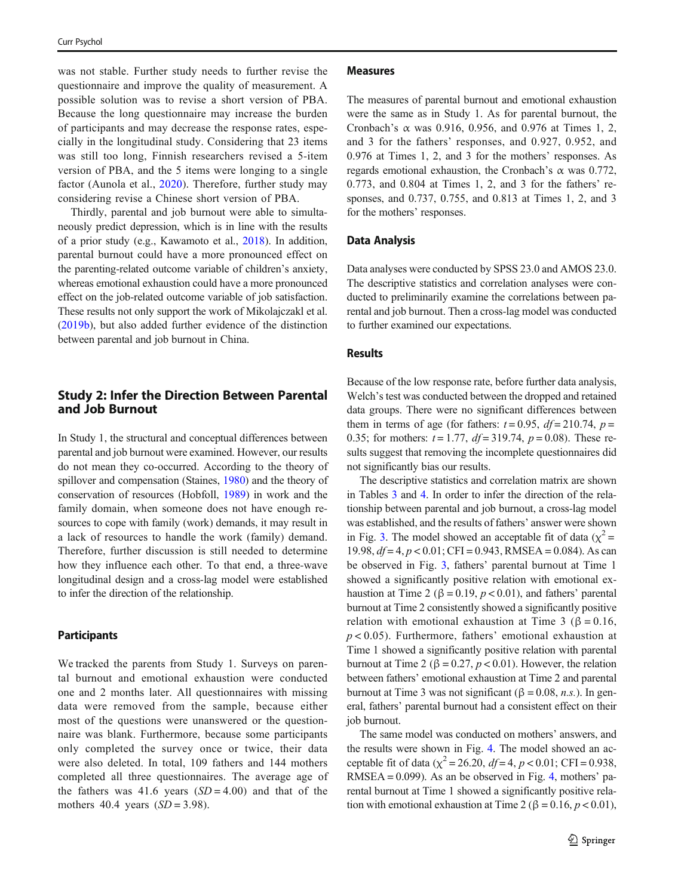was not stable. Further study needs to further revise the questionnaire and improve the quality of measurement. A possible solution was to revise a short version of PBA. Because the long questionnaire may increase the burden of participants and may decrease the response rates, especially in the longitudinal study. Considering that 23 items was still too long, Finnish researchers revised a 5-item version of PBA, and the 5 items were longing to a single factor (Aunola et al., [2020](#page-9-0)). Therefore, further study may considering revise a Chinese short version of PBA.

Thirdly, parental and job burnout were able to simultaneously predict depression, which is in line with the results of a prior study (e.g., Kawamoto et al., [2018\)](#page-9-0). In addition, parental burnout could have a more pronounced effect on the parenting-related outcome variable of children's anxiety, whereas emotional exhaustion could have a more pronounced effect on the job-related outcome variable of job satisfaction. These results not only support the work of Mikolajczakl et al. [\(2019b\)](#page-10-0), but also added further evidence of the distinction between parental and job burnout in China.

# Study 2: Infer the Direction Between Parental and Job Burnout

In Study 1, the structural and conceptual differences between parental and job burnout were examined. However, our results do not mean they co-occurred. According to the theory of spillover and compensation (Staines, [1980](#page-10-0)) and the theory of conservation of resources (Hobfoll, [1989\)](#page-9-0) in work and the family domain, when someone does not have enough resources to cope with family (work) demands, it may result in a lack of resources to handle the work (family) demand. Therefore, further discussion is still needed to determine how they influence each other. To that end, a three-wave longitudinal design and a cross-lag model were established to infer the direction of the relationship.

# **Participants**

We tracked the parents from Study 1. Surveys on parental burnout and emotional exhaustion were conducted one and 2 months later. All questionnaires with missing data were removed from the sample, because either most of the questions were unanswered or the questionnaire was blank. Furthermore, because some participants only completed the survey once or twice, their data were also deleted. In total, 109 fathers and 144 mothers completed all three questionnaires. The average age of the fathers was 41.6 years  $(SD = 4.00)$  and that of the mothers 40.4 years  $(SD = 3.98)$ .

#### Measures

The measures of parental burnout and emotional exhaustion were the same as in Study 1. As for parental burnout, the Cronbach's  $\alpha$  was 0.916, 0.956, and 0.976 at Times 1, 2, and 3 for the fathers' responses, and 0.927, 0.952, and 0.976 at Times 1, 2, and 3 for the mothers' responses. As regards emotional exhaustion, the Cronbach's  $\alpha$  was 0.772, 0.773, and 0.804 at Times 1, 2, and 3 for the fathers' responses, and 0.737, 0.755, and 0.813 at Times 1, 2, and 3 for the mothers' responses.

## Data Analysis

Data analyses were conducted by SPSS 23.0 and AMOS 23.0. The descriptive statistics and correlation analyses were conducted to preliminarily examine the correlations between parental and job burnout. Then a cross-lag model was conducted to further examined our expectations.

# Results

Because of the low response rate, before further data analysis, Welch's test was conducted between the dropped and retained data groups. There were no significant differences between them in terms of age (for fathers:  $t = 0.95$ ,  $df = 210.74$ ,  $p =$ 0.35; for mothers:  $t = 1.77$ ,  $df = 319.74$ ,  $p = 0.08$ ). These results suggest that removing the incomplete questionnaires did not significantly bias our results.

The descriptive statistics and correlation matrix are shown in Tables [3](#page-7-0) and [4.](#page-7-0) In order to infer the direction of the relationship between parental and job burnout, a cross-lag model was established, and the results of fathers' answer were shown in Fig. [3](#page-8-0). The model showed an acceptable fit of data ( $\chi^2$  = 19.98,  $df = 4$ ,  $p < 0.01$ ; CFI = 0.943, RMSEA = 0.084). As can be observed in Fig. [3](#page-8-0), fathers' parental burnout at Time 1 showed a significantly positive relation with emotional exhaustion at Time 2 ( $\beta$  = 0.19,  $p$  < 0.01), and fathers' parental burnout at Time 2 consistently showed a significantly positive relation with emotional exhaustion at Time 3 ( $\beta = 0.16$ ,  $p < 0.05$ ). Furthermore, fathers' emotional exhaustion at Time 1 showed a significantly positive relation with parental burnout at Time 2 ( $\beta = 0.27$ ,  $p < 0.01$ ). However, the relation between fathers' emotional exhaustion at Time 2 and parental burnout at Time 3 was not significant ( $\beta = 0.08$ , *n.s.*). In general, fathers' parental burnout had a consistent effect on their job burnout.

The same model was conducted on mothers' answers, and the results were shown in Fig. [4](#page-8-0). The model showed an acceptable fit of data ( $\chi^2$  = 26.20, df = 4, p < 0.01; CFI = 0.938, RMSEA = 0.099). As an be observed in Fig. [4](#page-8-0), mothers' parental burnout at Time 1 showed a significantly positive relation with emotional exhaustion at Time 2 ( $\beta$  = 0.16,  $p$  < 0.01),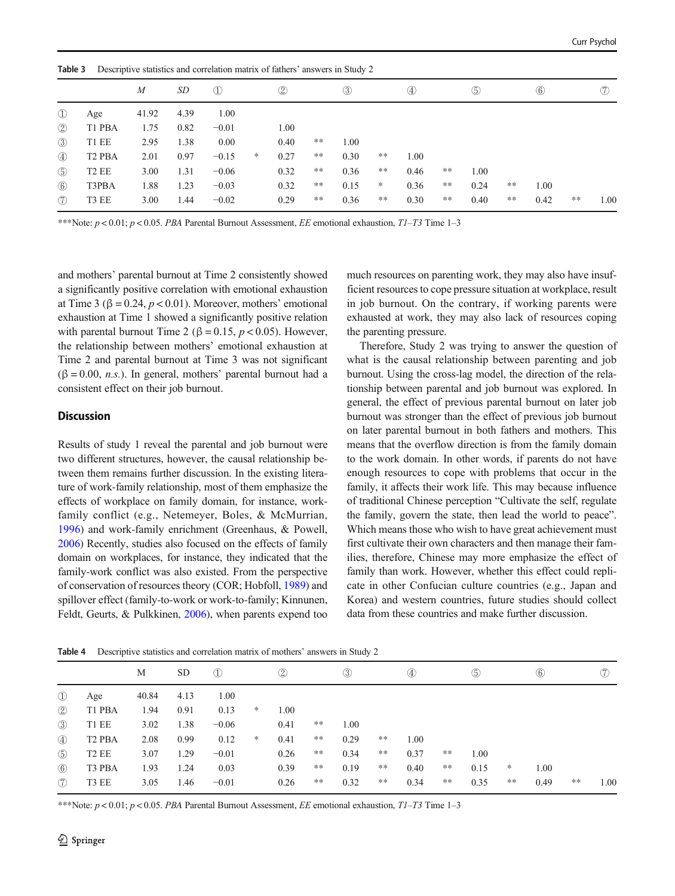<span id="page-7-0"></span>

| Table 3       |                    | $\boldsymbol{M}$ | SD   | Descriptive statistics and correlation matrix of fathers' answers in Study 2<br>$\mathbb{O}$ |   | $^{\circledR}$ |      | $\circled{3}$ |       | $\circled{4}$ |       | $\circledS$ |    | $\circled6$ |      | (7)  |
|---------------|--------------------|------------------|------|----------------------------------------------------------------------------------------------|---|----------------|------|---------------|-------|---------------|-------|-------------|----|-------------|------|------|
| $\mathbb{O}$  | Age                | 41.92            | 4.39 | 1.00                                                                                         |   |                |      |               |       |               |       |             |    |             |      |      |
| $\circled{2}$ | T1 PBA             | 1.75             | 0.82 | $-0.01$                                                                                      |   | 1.00           |      |               |       |               |       |             |    |             |      |      |
| $\circled{3}$ | T1 EE              | 2.95             | 1.38 | 0.00                                                                                         |   | 0.40           | **   | 1.00          |       |               |       |             |    |             |      |      |
| $\circled{4}$ | T <sub>2</sub> PBA | 2.01             | 0.97 | $-0.15$                                                                                      | * | 0.27           | **   | 0.30          | $**$  | 1.00          |       |             |    |             |      |      |
| $\circledS$   | T <sub>2</sub> EE  | 3.00             | 1.31 | $-0.06$                                                                                      |   | 0.32           | $**$ | 0.36          | $***$ | 0.46          | $***$ | 1.00        |    |             |      |      |
| $\circled{6}$ | T3PBA              | 1.88             | 1.23 | $-0.03$                                                                                      |   | 0.32           | $**$ | 0.15          | *     | 0.36          | $***$ | 0.24        | ** | 1.00        |      |      |
| (7)           | T3 EE              | 3.00             | 1.44 | $-0.02$                                                                                      |   | 0.29           | **   | 0.36          | $***$ | 0.30          | $***$ | 0.40        | ** | 0.42        | $**$ | 1.00 |

\*\*\*Note:  $p < 0.01$ ;  $p < 0.05$ . PBA Parental Burnout Assessment, EE emotional exhaustion, TI-T3 Time 1-3

and mothers' parental burnout at Time 2 consistently showed a significantly positive correlation with emotional exhaustion at Time 3 ( $\beta$  = 0.24,  $p$  < 0.01). Moreover, mothers' emotional exhaustion at Time 1 showed a significantly positive relation with parental burnout Time 2 ( $\beta = 0.15$ ,  $p < 0.05$ ). However, the relationship between mothers' emotional exhaustion at Time 2 and parental burnout at Time 3 was not significant  $(\beta = 0.00, n.s.)$ . In general, mothers' parental burnout had a consistent effect on their job burnout.

# **Discussion**

Results of study 1 reveal the parental and job burnout were two different structures, however, the causal relationship between them remains further discussion. In the existing literature of work-family relationship, most of them emphasize the effects of workplace on family domain, for instance, workfamily conflict (e.g., Netemeyer, Boles, & McMurrian, [1996\)](#page-10-0) and work-family enrichment (Greenhaus, & Powell, [2006\)](#page-9-0) Recently, studies also focused on the effects of family domain on workplaces, for instance, they indicated that the family-work conflict was also existed. From the perspective of conservation of resources theory (COR; Hobfoll, [1989\)](#page-9-0) and spillover effect (family-to-work or work-to-family; Kinnunen, Feldt, Geurts, & Pulkkinen, [2006](#page-10-0)), when parents expend too much resources on parenting work, they may also have insufficient resources to cope pressure situation at workplace, result in job burnout. On the contrary, if working parents were exhausted at work, they may also lack of resources coping the parenting pressure.

Therefore, Study 2 was trying to answer the question of what is the causal relationship between parenting and job burnout. Using the cross-lag model, the direction of the relationship between parental and job burnout was explored. In general, the effect of previous parental burnout on later job burnout was stronger than the effect of previous job burnout on later parental burnout in both fathers and mothers. This means that the overflow direction is from the family domain to the work domain. In other words, if parents do not have enough resources to cope with problems that occur in the family, it affects their work life. This may because influence of traditional Chinese perception "Cultivate the self, regulate the family, govern the state, then lead the world to peace". Which means those who wish to have great achievement must first cultivate their own characters and then manage their families, therefore, Chinese may more emphasize the effect of family than work. However, whether this effect could replicate in other Confucian culture countries (e.g., Japan and Korea) and western countries, future studies should collect data from these countries and make further discussion.

|                |                    | М     | <b>SD</b> | $\mathcal{D}$ |        | $\circled{2}$ |    | $^{\circledR}$ |       | $\circled{4}$ |    | $\circled{5}$ |    | $\circled6$ |       | $\circled7$ |
|----------------|--------------------|-------|-----------|---------------|--------|---------------|----|----------------|-------|---------------|----|---------------|----|-------------|-------|-------------|
| $\mathbb{O}$   | Age                | 40.84 | 4.13      | 1.00          |        |               |    |                |       |               |    |               |    |             |       |             |
| $\circled{2}$  | T1 PBA             | 1.94  | 0.91      | 0.13          | *      | 1.00          |    |                |       |               |    |               |    |             |       |             |
| $\circled{3}$  | T1 EE              | 3.02  | 1.38      | $-0.06$       |        | 0.41          | ** | 1.00           |       |               |    |               |    |             |       |             |
| $\circled{4}$  | T <sub>2</sub> PBA | 2.08  | 0.99      | 0.12          | $\ast$ | 0.41          | ** | 0.29           | $***$ | 1.00          |    |               |    |             |       |             |
| $\circledS$    | T <sub>2</sub> EE  | 3.07  | 1.29      | $-0.01$       |        | 0.26          | ** | 0.34           | $***$ | 0.37          | ** | 1.00          |    |             |       |             |
| $\circled{6}$  | T3 PBA             | 1.93  | 1.24      | 0.03          |        | 0.39          | ** | 0.19           | $***$ | 0.40          | ** | 0.15          | ∗  | 1.00        |       |             |
| $\circledcirc$ | T3 EE              | 3.05  | 1.46      | $-0.01$       |        | 0.26          | ** | 0.32           | **    | 0.34          | ** | 0.35          | ** | 0.49        | $***$ | 1.00        |

Table 4 Descriptive statistics and correlation matrix of mothers' answers in Study 2

\*\*\*Note:  $p < 0.01$ ;  $p < 0.05$ . PBA Parental Burnout Assessment, EE emotional exhaustion, TI-T3 Time 1-3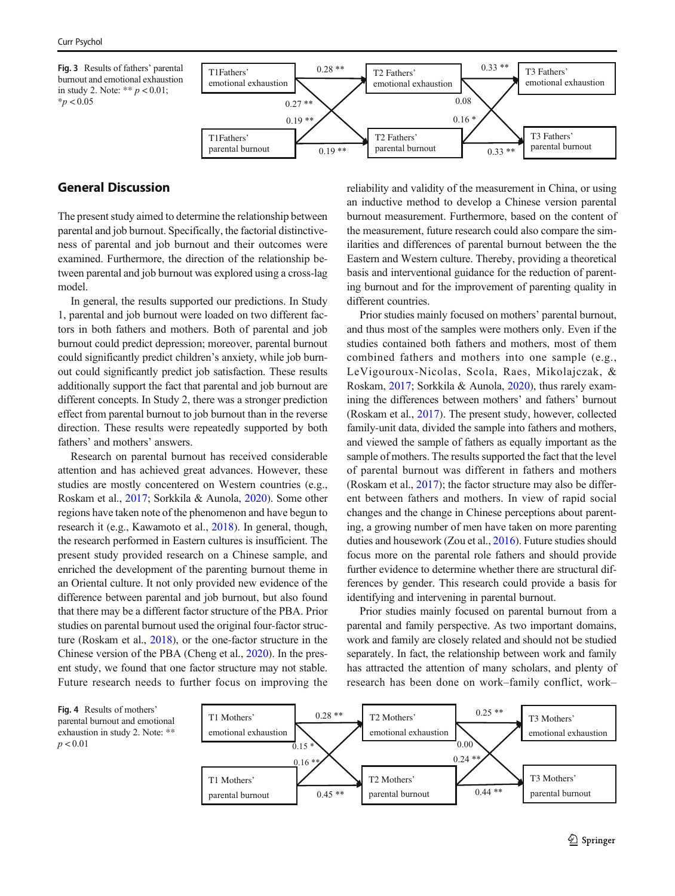<span id="page-8-0"></span>Fig. 3 Results of fathers' parental burnout and emotional exhaustion in study 2. Note: \*\*  $p < 0.01$ ;  $*_{p}$  < 0.05



# General Discussion

The present study aimed to determine the relationship between parental and job burnout. Specifically, the factorial distinctiveness of parental and job burnout and their outcomes were examined. Furthermore, the direction of the relationship between parental and job burnout was explored using a cross-lag model.

In general, the results supported our predictions. In Study 1, parental and job burnout were loaded on two different factors in both fathers and mothers. Both of parental and job burnout could predict depression; moreover, parental burnout could significantly predict children's anxiety, while job burnout could significantly predict job satisfaction. These results additionally support the fact that parental and job burnout are different concepts. In Study 2, there was a stronger prediction effect from parental burnout to job burnout than in the reverse direction. These results were repeatedly supported by both fathers' and mothers' answers.

Research on parental burnout has received considerable attention and has achieved great advances. However, these studies are mostly concentered on Western countries (e.g., Roskam et al., [2017](#page-10-0); Sorkkila & Aunola, [2020\)](#page-10-0). Some other regions have taken note of the phenomenon and have begun to research it (e.g., Kawamoto et al., [2018](#page-9-0)). In general, though, the research performed in Eastern cultures is insufficient. The present study provided research on a Chinese sample, and enriched the development of the parenting burnout theme in an Oriental culture. It not only provided new evidence of the difference between parental and job burnout, but also found that there may be a different factor structure of the PBA. Prior studies on parental burnout used the original four-factor structure (Roskam et al., [2018](#page-10-0)), or the one-factor structure in the Chinese version of the PBA (Cheng et al., [2020\)](#page-9-0). In the present study, we found that one factor structure may not stable. Future research needs to further focus on improving the reliability and validity of the measurement in China, or using an inductive method to develop a Chinese version parental burnout measurement. Furthermore, based on the content of the measurement, future research could also compare the similarities and differences of parental burnout between the the Eastern and Western culture. Thereby, providing a theoretical basis and interventional guidance for the reduction of parenting burnout and for the improvement of parenting quality in different countries.

Prior studies mainly focused on mothers' parental burnout, and thus most of the samples were mothers only. Even if the studies contained both fathers and mothers, most of them combined fathers and mothers into one sample (e.g., LeVigouroux-Nicolas, Scola, Raes, Mikolajczak, & Roskam, [2017;](#page-10-0) Sorkkila & Aunola, [2020\)](#page-10-0), thus rarely examining the differences between mothers' and fathers' burnout (Roskam et al., [2017\)](#page-10-0). The present study, however, collected family-unit data, divided the sample into fathers and mothers, and viewed the sample of fathers as equally important as the sample of mothers. The results supported the fact that the level of parental burnout was different in fathers and mothers (Roskam et al., [2017](#page-10-0)); the factor structure may also be different between fathers and mothers. In view of rapid social changes and the change in Chinese perceptions about parenting, a growing number of men have taken on more parenting duties and housework (Zou et al., [2016\)](#page-10-0). Future studies should focus more on the parental role fathers and should provide further evidence to determine whether there are structural differences by gender. This research could provide a basis for identifying and intervening in parental burnout.

Prior studies mainly focused on parental burnout from a parental and family perspective. As two important domains, work and family are closely related and should not be studied separately. In fact, the relationship between work and family has attracted the attention of many scholars, and plenty of research has been done on work–family conflict, work–

Fig. 4 Results of mothers' parental burnout and emotional exhaustion in study 2. Note: \*\*  $p < 0.01$ 

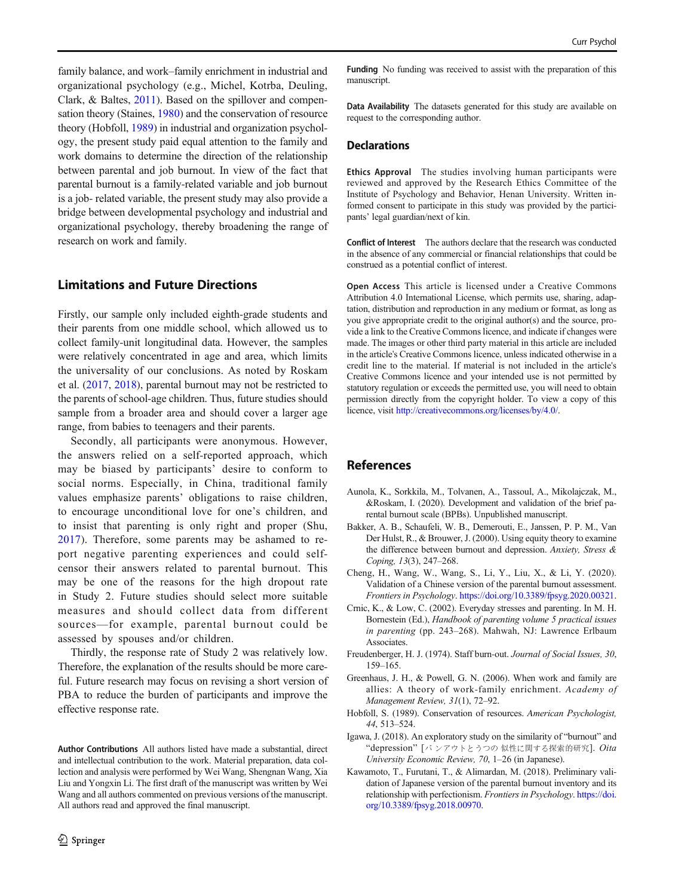<span id="page-9-0"></span>family balance, and work–family enrichment in industrial and organizational psychology (e.g., Michel, Kotrba, Deuling, Clark, & Baltes, [2011\)](#page-10-0). Based on the spillover and compensation theory (Staines, [1980\)](#page-10-0) and the conservation of resource theory (Hobfoll, 1989) in industrial and organization psychology, the present study paid equal attention to the family and work domains to determine the direction of the relationship between parental and job burnout. In view of the fact that parental burnout is a family-related variable and job burnout is a job- related variable, the present study may also provide a bridge between developmental psychology and industrial and organizational psychology, thereby broadening the range of research on work and family.

# Limitations and Future Directions

Firstly, our sample only included eighth-grade students and their parents from one middle school, which allowed us to collect family-unit longitudinal data. However, the samples were relatively concentrated in age and area, which limits the universality of our conclusions. As noted by Roskam et al. [\(2017,](#page-10-0) [2018\)](#page-10-0), parental burnout may not be restricted to the parents of school-age children. Thus, future studies should sample from a broader area and should cover a larger age range, from babies to teenagers and their parents.

Secondly, all participants were anonymous. However, the answers relied on a self-reported approach, which may be biased by participants' desire to conform to social norms. Especially, in China, traditional family values emphasize parents' obligations to raise children, to encourage unconditional love for one's children, and to insist that parenting is only right and proper (Shu, [2017](#page-10-0)). Therefore, some parents may be ashamed to report negative parenting experiences and could selfcensor their answers related to parental burnout. This may be one of the reasons for the high dropout rate in Study 2. Future studies should select more suitable measures and should collect data from different sources—for example, parental burnout could be assessed by spouses and/or children.

Thirdly, the response rate of Study 2 was relatively low. Therefore, the explanation of the results should be more careful. Future research may focus on revising a short version of PBA to reduce the burden of participants and improve the effective response rate.

Author Contributions All authors listed have made a substantial, direct and intellectual contribution to the work. Material preparation, data collection and analysis were performed by Wei Wang, Shengnan Wang, Xia Liu and Yongxin Li. The first draft of the manuscript was written by Wei Wang and all authors commented on previous versions of the manuscript. All authors read and approved the final manuscript.

Funding No funding was received to assist with the preparation of this manuscript.

Data Availability The datasets generated for this study are available on request to the corresponding author.

#### **Declarations**

Ethics Approval The studies involving human participants were reviewed and approved by the Research Ethics Committee of the Institute of Psychology and Behavior, Henan University. Written informed consent to participate in this study was provided by the participants' legal guardian/next of kin.

Conflict of Interest The authors declare that the research was conducted in the absence of any commercial or financial relationships that could be construed as a potential conflict of interest.

Open Access This article is licensed under a Creative Commons Attribution 4.0 International License, which permits use, sharing, adaptation, distribution and reproduction in any medium or format, as long as you give appropriate credit to the original author(s) and the source, provide a link to the Creative Commons licence, and indicate if changes were made. The images or other third party material in this article are included in the article's Creative Commons licence, unless indicated otherwise in a credit line to the material. If material is not included in the article's Creative Commons licence and your intended use is not permitted by statutory regulation or exceeds the permitted use, you will need to obtain permission directly from the copyright holder. To view a copy of this licence, visit <http://creativecommons.org/licenses/by/4.0/>.

# References

- Aunola, K., Sorkkila, M., Tolvanen, A., Tassoul, A., Mikolajczak, M., &Roskam, I. (2020). Development and validation of the brief parental burnout scale (BPBs). Unpublished manuscript.
- Bakker, A. B., Schaufeli, W. B., Demerouti, E., Janssen, P. P. M., Van Der Hulst, R., & Brouwer, J. (2000). Using equity theory to examine the difference between burnout and depression. Anxiety, Stress & Coping, 13(3), 247–268.
- Cheng, H., Wang, W., Wang, S., Li, Y., Liu, X., & Li, Y. (2020). Validation of a Chinese version of the parental burnout assessment. Frontiers in Psychology. <https://doi.org/10.3389/fpsyg.2020.00321>.
- Crnic, K., & Low, C. (2002). Everyday stresses and parenting. In M. H. Bornestein (Ed.), Handbook of parenting volume 5 practical issues in parenting (pp. 243–268). Mahwah, NJ: Lawrence Erlbaum Associates.
- Freudenberger, H. J. (1974). Staff burn-out. Journal of Social Issues, 30, 159–165.
- Greenhaus, J. H., & Powell, G. N. (2006). When work and family are allies: A theory of work-family enrichment. Academy of Management Review, 31(1), 72–92.
- Hobfoll, S. (1989). Conservation of resources. American Psychologist, 44, 513–524.
- Igawa, J. (2018). An exploratory study on the similarity of "burnout" and "depression" [バ ンアウトとうつの 似性に関する探索的研究]. Oita University Economic Review, 70, 1–26 (in Japanese).
- Kawamoto, T., Furutani, T., & Alimardan, M. (2018). Preliminary validation of Japanese version of the parental burnout inventory and its relationship with perfectionism. Frontiers in Psychology. [https://doi.](https://doi.org/10.3389/fpsyg.2018.00970) [org/10.3389/fpsyg.2018.00970.](https://doi.org/10.3389/fpsyg.2018.00970)